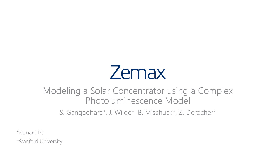# **Zemax**

#### Modeling a Solar Concentrator using a Complex Photoluminescence Model

S. Gangadhara\*, J. Wilde<sup>+</sup>, B. Mischuck\*, Z. Derocher\*

\*Zemax LLC

+Stanford University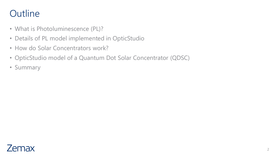- What is Photoluminescence (PL)?
- Details of PL model implemented in OpticStudio
- How do Solar Concentrators work?
- OpticStudio model of a Quantum Dot Solar Concentrator (QDSC)
- Summary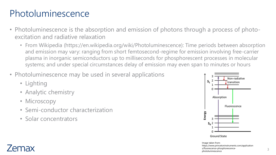### Photoluminescence

- Photoluminescence is the absorption and emission of photons through a process of photoexcitation and radiative relaxation
	- From Wikipedia (https://en.wikipedia.org/wiki/Photoluminescence): Time periods between absorption and emission may vary: ranging from short femtosecond-regime for emission involving free-carrier plasma in inorganic semiconductors up to milliseconds for phosphorescent processes in molecular systems; and under special circumstances delay of emission may even span to minutes or hours
- Photoluminescence may be used in several applications
	- Lighting
	- Analytic chemistry
	- Microscopy
	- Semi-conductor characterization
	- Solar concentrators



3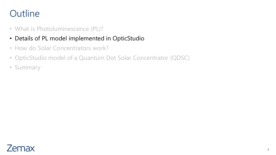- What is Photoluminescence (PL)?
- Details of PL model implemented in OpticStudio
- How do Solar Concentrators work?
- OpticStudio model of a Quantum Dot Solar Concentrator (QDSC)
- Summary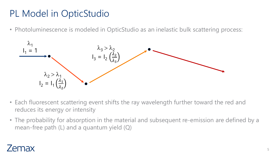# PL Model in OpticStudio

• Photoluminescence is modeled in OpticStudio as an inelastic bulk scattering process:



- Each fluorescent scattering event shifts the ray wavelength further toward the red and reduces its energy or intensity
- The probability for absorption in the material and subsequent re-emission are defined by a mean-free path (L) and a quantum yield (Q)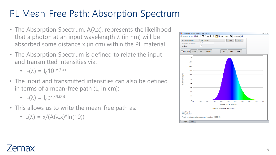### PL Mean-Free Path: Absorption Spectrum

- The Absorption Spectrum,  $A(\lambda,x)$ , represents the likelihood that a photon at an input wavelength  $\lambda$  (in nm) will be absorbed some distance x (in cm) within the PL material
- The Absorption Spectrum is defined to relate the input and transmitted intensities via:
	- $I_T(\lambda) = I_0 10^{-A(\lambda, x)}$
- The input and transmitted intensities can also be defined in terms of a mean-free path (L, in cm):
	- $I_T(\lambda) = I_0 e^{-(x/L(\lambda))}$
- This allows us to write the mean-free path as:
	- $L(\lambda) = x/(A(\lambda x)^*ln(10))$

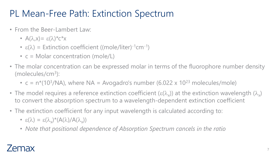# PL Mean-Free Path: Extinction Spectrum

- From the Beer-Lambert Law:
	- $A(\lambda, x) = \varepsilon(\lambda)^* c^* x$
	- $\varepsilon(\lambda)$  = Extinction coefficient ((mole/liter)<sup>-1</sup>cm<sup>-1</sup>)
	- $c =$  Molar concentration (mole/L)
- The molar concentration can be expressed molar in terms of the fluorophore number density (molecules/cm<sup>3</sup> ):
	- $c = n*(10<sup>3</sup>/NA)$ , where NA = Avogadro's number (6.022 x 10<sup>23</sup> molecules/mole)
- The model requires a reference extinction coefficient ( $\varepsilon(\lambda_\chi)$ ) at the extinction wavelength ( $\lambda_\chi$ ) to convert the absorption spectrum to a wavelength-dependent extinction coefficient
- The extinction coefficient for any input wavelength is calculated according to:
	- $\varepsilon(\lambda) = \varepsilon(\lambda_x)^*(A(\lambda)/A(\lambda_x))$
	- *Note that positional dependence of Absorption Spectrum cancels in the ratio*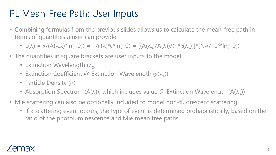### PL Mean-Free Path: User Inputs

- Combining formulas from the previous slides allows us to calculate the mean-free path in terms of quantities a user can provide:
	- $L(\lambda) = x/(A(\lambda, x)^* \ln(10)) = 1/\epsilon(\lambda)^* c^* \ln(10) = [(A(\lambda_x)/A(\lambda))/(n^* \epsilon(\lambda_x))]^* (NA/10^{3*} \ln(10))$
- The quantities in square brackets are user inputs to the model:
	- Extinction Wavelength  $(\lambda_x)$
	- Extinction Coefficient @ Extinction Wavelength ( $\varepsilon(\lambda_x)$ )
	- Particle Density (n)
	- Absorption Spectrum (A( $\lambda$ )), which includes value @ Extinction Wavelength (A( $\lambda_{\rm x}$ ))
- Mie scattering can also be optionally included to model non-fluorescent scattering
	- If a scattering event occurs, the type of event is determined probabilistically, based on the ratio of the photoluminescence and Mie mean free paths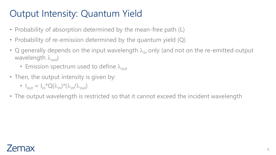# Output Intensity: Quantum Yield

- Probability of absorption determined by the mean-free path (L)
- Probability of re-emission determined by the quantum yield (Q)
- Q generally depends on the input wavelength  $\lambda_{\rm in}$  only (and not on the re-emitted output wavelength  $\lambda_{\text{out}}$ )
	- Emission spectrum used to define  $\lambda_{\text{out}}$
- Then, the output intensity is given by:
	- $I_{\text{out}} = I_{\text{in}}^{\star} Q(\lambda_{\text{in}})^{\star} (\lambda_{\text{in}}/\lambda_{\text{out}})$
- The output wavelength is restricted so that it cannot exceed the incident wavelength

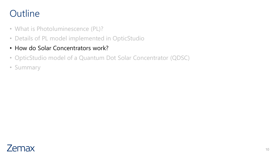- What is Photoluminescence (PL)?
- Details of PL model implemented in OpticStudio
- How do Solar Concentrators work?
- OpticStudio model of a Quantum Dot Solar Concentrator (QDSC)
- Summary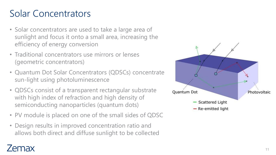# Solar Concentrators

- Solar concentrators are used to take a large area of sunlight and focus it onto a small area, increasing the efficiency of energy conversion
- Traditional concentrators use mirrors or lenses (geometric concentrators)
- Quantum Dot Solar Concentrators (QDSCs) concentrate sun -light using photoluminescence
- QDSCs consist of a transparent rectangular substrate with high index of refraction and high density of semiconducting nanoparticles (quantum dots)
- PV module is placed on one of the small sides of QDSC
- Design results in improved concentration ratio and allows both direct and diffuse sunlight to be collected

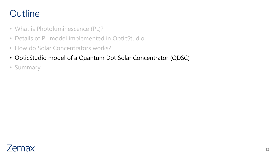- What is Photoluminescence (PL)?
- Details of PL model implemented in OpticStudio
- How do Solar Concentrators works?
- OpticStudio model of a Quantum Dot Solar Concentrator (QDSC)
- Summary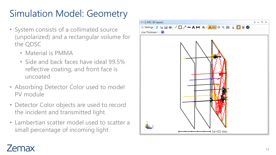# Simulation Model: Geometry

- System consists of a collimated source (unpolarized) and a rectangular volume for the QDSC
	- Material is PMMA
	- Side and back faces have ideal 99.5% reflective coating, and front face is uncoated
- Absorbing Detector Color used to model PV module
- Detector Color objects are used to record the incident and transmitted light
- Lambertian scatter model used to scatter a small percentage of incoming light



#### $/$  $emax$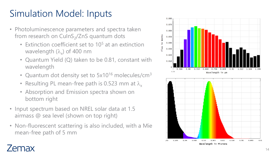# Simulation Model: Inputs

- Photoluminescence parameters and spectra taken from research on CulnS<sub>2</sub>/ZnS quantum dots
	- Extinction coefficient set to 10 <sup>5</sup> at an extinction wavelength ( $\lambda_{\sf x}$ ) of 400 nm
	- Quantum Yield (Q) taken to be 0.81, constant with wavelength
	- Quantum dot density set to 5x10<sup>16</sup> molecules/cm<sup>3</sup>
	- Resulting PL mean-free path is 0.523 mm at  $\lambda_{\sf x}$
	- Absorption and Emission spectra shown on bottom right
- Input spectrum based on NREL solar data at 1.5 airmass @ sea level (shown on top right)
- Non -fluorescent scattering is also included, with a Mie mean -free path of 5 mm

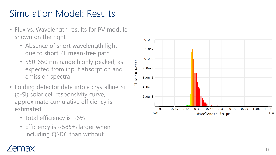# Simulation Model: Results

- Flux vs. Wavelength results for PV module shown on the right
	- Absence of short wavelength light due to short PL mean -free path
	- 550 -650 nm range highly peaked, as expected from input absorption and emission spectra
- Folding detector data into a crystalline Si (c -Si) solar cell responsivity curve, approximate cumulative efficiency is estimated
	- Total efficiency is  $~16\%$
	- Efficiency is ~585% larger when including QSDC than without

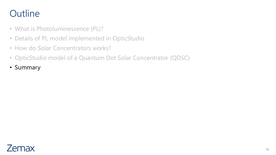- What is Photoluminescence (PL)?
- Details of PL model implemented in OpticStudio
- How do Solar Concentrators works?
- OpticStudio model of a Quantum Dot Solar Concentrator (QDSC)
- Summary